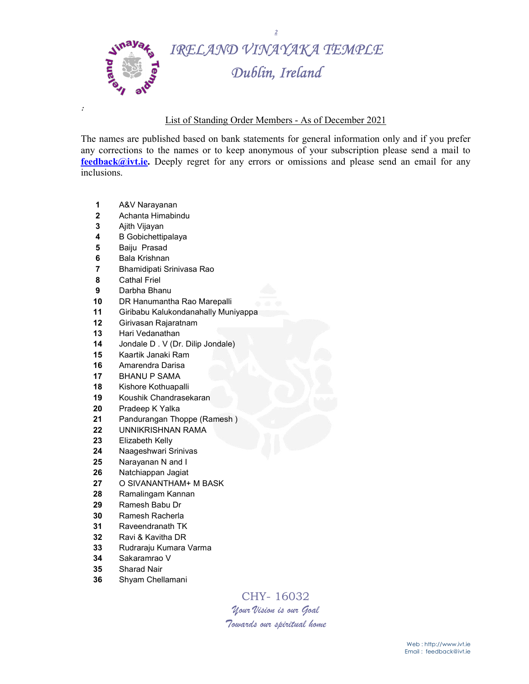

## List of Standing Order Members - As of December 2021

The names are published based on bank statements for general information only and if you prefer any corrections to the names or to keep anonymous of your subscription please send a mail to feedback@ivt.ie. Deeply regret for any errors or omissions and please send an email for any inclusions.

- A&V Narayanan
- Achanta Himabindu
- Ajith Vijayan

:

- B Gobichettipalaya
- Baiju Prasad
- Bala Krishnan
- Bhamidipati Srinivasa Rao
- Cathal Friel
- Darbha Bhanu
- DR Hanumantha Rao Marepalli
- Giribabu Kalukondanahally Muniyappa
- Girivasan Rajaratnam
- 13 Hari Vedanathan
- 14 Jondale D. V (Dr. Dilip Jondale)
- Kaartik Janaki Ram
- Amarendra Darisa
- BHANU P SAMA
- Kishore Kothuapalli
- Koushik Chandrasekaran
- Pradeep K Yalka
- 21 Pandurangan Thoppe (Ramesh)
- UNNIKRISHNAN RAMA
- Elizabeth Kelly
- Naageshwari Srinivas
- Narayanan N and I
- Natchiappan Jagiat
- O SIVANANTHAM+ M BASK
- Ramalingam Kannan
- Ramesh Babu Dr
- Ramesh Racherla
- Raveendranath TK
- Ravi & Kavitha DR
- Rudraraju Kumara Varma
- Sakaramrao V
- Sharad Nair
- Shyam Chellamani

CHY- 16032 Your Vision is our Goal

Towards our spiritual home